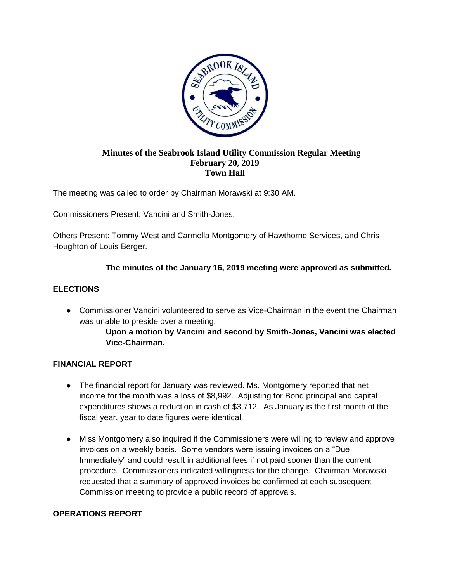

#### **Minutes of the Seabrook Island Utility Commission Regular Meeting February 20, 2019 Town Hall**

The meeting was called to order by Chairman Morawski at 9:30 AM.

Commissioners Present: Vancini and Smith-Jones.

Others Present: Tommy West and Carmella Montgomery of Hawthorne Services, and Chris Houghton of Louis Berger.

# **The minutes of the January 16, 2019 meeting were approved as submitted.**

# **ELECTIONS**

• Commissioner Vancini volunteered to serve as Vice-Chairman in the event the Chairman was unable to preside over a meeting.

# **Upon a motion by Vancini and second by Smith-Jones, Vancini was elected Vice-Chairman.**

#### **FINANCIAL REPORT**

- The financial report for January was reviewed. Ms. Montgomery reported that net income for the month was a loss of \$8,992. Adjusting for Bond principal and capital expenditures shows a reduction in cash of \$3,712. As January is the first month of the fiscal year, year to date figures were identical.
- Miss Montgomery also inquired if the Commissioners were willing to review and approve invoices on a weekly basis. Some vendors were issuing invoices on a "Due Immediately" and could result in additional fees if not paid sooner than the current procedure. Commissioners indicated willingness for the change. Chairman Morawski requested that a summary of approved invoices be confirmed at each subsequent Commission meeting to provide a public record of approvals.

# **OPERATIONS REPORT**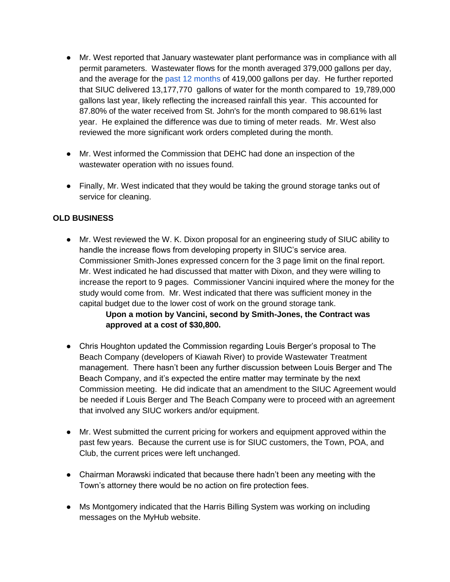- Mr. West reported that January wastewater plant performance was in compliance with all permit parameters. Wastewater flows for the month averaged 379,000 gallons per day, and the average for the past 12 months of 419,000 gallons per day. He further reported that SIUC delivered 13,177,770 gallons of water for the month compared to 19,789,000 gallons last year, likely reflecting the increased rainfall this year. This accounted for 87.80% of the water received from St. John's for the month compared to 98.61% last year. He explained the difference was due to timing of meter reads. Mr. West also reviewed the more significant work orders completed during the month.
- Mr. West informed the Commission that DEHC had done an inspection of the wastewater operation with no issues found.
- Finally, Mr. West indicated that they would be taking the ground storage tanks out of service for cleaning.

# **OLD BUSINESS**

● Mr. West reviewed the W. K. Dixon proposal for an engineering study of SIUC ability to handle the increase flows from developing property in SIUC's service area. Commissioner Smith-Jones expressed concern for the 3 page limit on the final report. Mr. West indicated he had discussed that matter with Dixon, and they were willing to increase the report to 9 pages. Commissioner Vancini inquired where the money for the study would come from. Mr. West indicated that there was sufficient money in the capital budget due to the lower cost of work on the ground storage tank.

# **Upon a motion by Vancini, second by Smith-Jones, the Contract was approved at a cost of \$30,800.**

- Chris Houghton updated the Commission regarding Louis Berger's proposal to The Beach Company (developers of Kiawah River) to provide Wastewater Treatment management. There hasn't been any further discussion between Louis Berger and The Beach Company, and it's expected the entire matter may terminate by the next Commission meeting. He did indicate that an amendment to the SIUC Agreement would be needed if Louis Berger and The Beach Company were to proceed with an agreement that involved any SIUC workers and/or equipment.
- Mr. West submitted the current pricing for workers and equipment approved within the past few years. Because the current use is for SIUC customers, the Town, POA, and Club, the current prices were left unchanged.
- Chairman Morawski indicated that because there hadn't been any meeting with the Town's attorney there would be no action on fire protection fees.
- Ms Montgomery indicated that the Harris Billing System was working on including messages on the MyHub website.